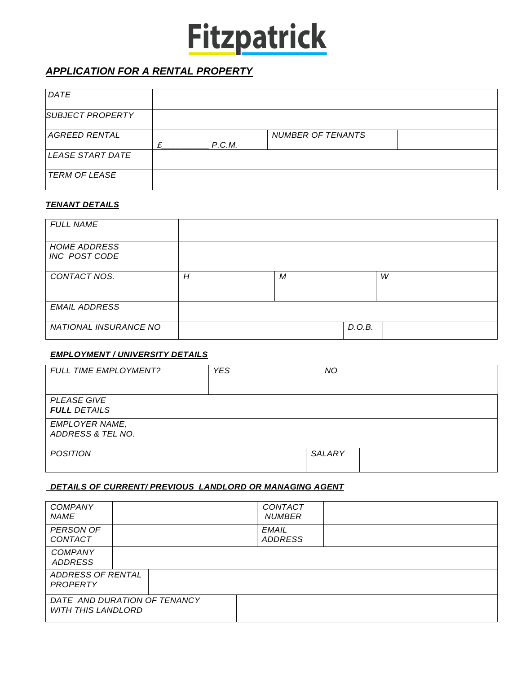# **Fitzpatrick**

## *APPLICATION FOR A RENTAL PROPERTY*

| DATE                    |   |        |                          |  |
|-------------------------|---|--------|--------------------------|--|
| <b>SUBJECT PROPERTY</b> |   |        |                          |  |
| <b>AGREED RENTAL</b>    |   |        | <b>NUMBER OF TENANTS</b> |  |
|                         | £ | P.C.M. |                          |  |
|                         |   |        |                          |  |
| LEASE START DATE        |   |        |                          |  |
| <b>TERM OF LEASE</b>    |   |        |                          |  |

#### *TENANT DETAILS*

| <b>FULL NAME</b>                     |   |   |        |   |
|--------------------------------------|---|---|--------|---|
| <b>HOME ADDRESS</b><br>INC POST CODE |   |   |        |   |
| CONTACT NOS.                         | H | M |        | W |
| <b>EMAIL ADDRESS</b>                 |   |   |        |   |
| NATIONAL INSURANCE NO                |   |   | D.O.B. |   |

#### *EMPLOYMENT / UNIVERSITY DETAILS*

| <b>FULL TIME EMPLOYMENT?</b>               | <b>YES</b> | NO.    |  |
|--------------------------------------------|------------|--------|--|
| <b>PLEASE GIVE</b><br><b>FULL DETAILS</b>  |            |        |  |
| <b>EMPLOYER NAME,</b><br>ADDRESS & TEL NO. |            |        |  |
| <b>POSITION</b>                            |            | SALARY |  |

### *DETAILS OF CURRENT/ PREVIOUS LANDLORD OR MANAGING AGENT*

| <b>COMPANY</b><br><b>NAME</b>        |                              | CONTACT<br><b>NUMBER</b>       |  |
|--------------------------------------|------------------------------|--------------------------------|--|
| <b>PERSON OF</b><br>CONTACT          |                              | <b>EMAIL</b><br><b>ADDRESS</b> |  |
| <b>COMPANY</b><br><b>ADDRESS</b>     |                              |                                |  |
| ADDRESS OF RENTAL<br><b>PROPERTY</b> |                              |                                |  |
| <b>WITH THIS LANDLORD</b>            | DATE AND DURATION OF TENANCY |                                |  |